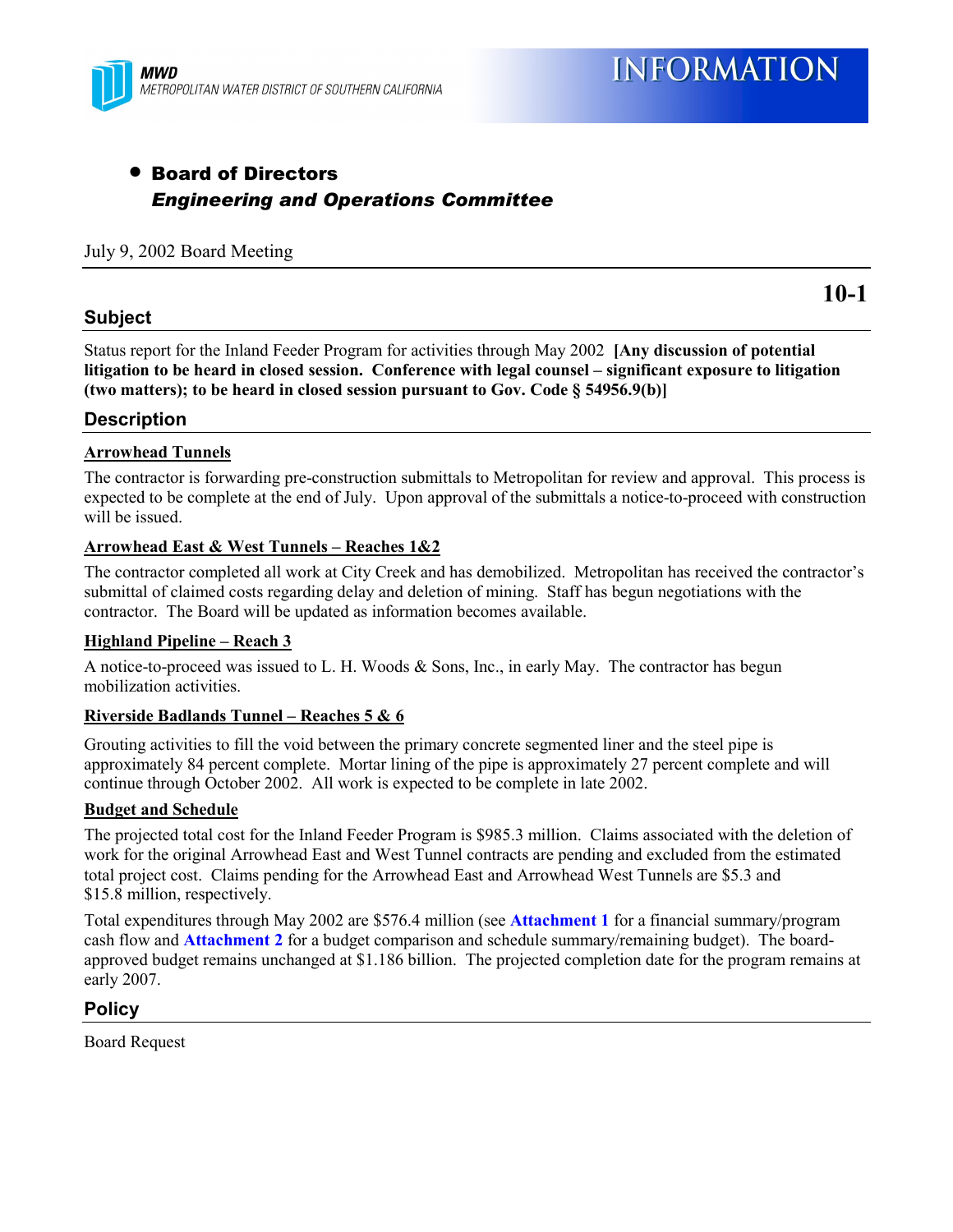

## • Board of Directors *Engineering and Operations Committee*

#### July 9, 2002 Board Meeting

#### **Subject**

**10-1**

Status report for the Inland Feeder Program for activities through May 2002 **[Any discussion of potential** litigation to be heard in closed session. Conference with legal counsel – significant exposure to litigation **(two matters); to be heard in closed session pursuant to Gov. Code ß 54956.9(b)]**

#### **Description**

#### **Arrowhead Tunnels**

The contractor is forwarding pre-construction submittals to Metropolitan for review and approval. This process is expected to be complete at the end of July. Upon approval of the submittals a notice-to-proceed with construction will be issued.

#### **Arrowhead East & West Tunnels - Reaches 1&2**

The contractor completed all work at City Creek and has demobilized. Metropolitan has received the contractor's submittal of claimed costs regarding delay and deletion of mining. Staff has begun negotiations with the contractor. The Board will be updated as information becomes available.

#### **Highland Pipeline – Reach 3**

A notice-to-proceed was issued to L. H. Woods  $\&$  Sons, Inc., in early May. The contractor has begun mobilization activities.

#### **Riverside Badlands Tunnel – Reaches 5 & 6**

Grouting activities to fill the void between the primary concrete segmented liner and the steel pipe is approximately 84 percent complete. Mortar lining of the pipe is approximately 27 percent complete and will continue through October 2002. All work is expected to be complete in late 2002.

#### **Budget and Schedule**

The projected total cost for the Inland Feeder Program is \$985.3 million. Claims associated with the deletion of work for the original Arrowhead East and West Tunnel contracts are pending and excluded from the estimated total project cost. Claims pending for the Arrowhead East and Arrowhead West Tunnels are \$5.3 and \$15.8 million, respectively.

Total expenditures through May 2002 are \$576.4 million (see **[Attachment 1](#page-2-0)** for a financial summary/program cash flow and **[Attachment 2](#page-3-0)** for a budget comparison and schedule summary/remaining budget). The boardapproved budget remains unchanged at \$1.186 billion. The projected completion date for the program remains at early 2007.

#### **Policy**

Board Request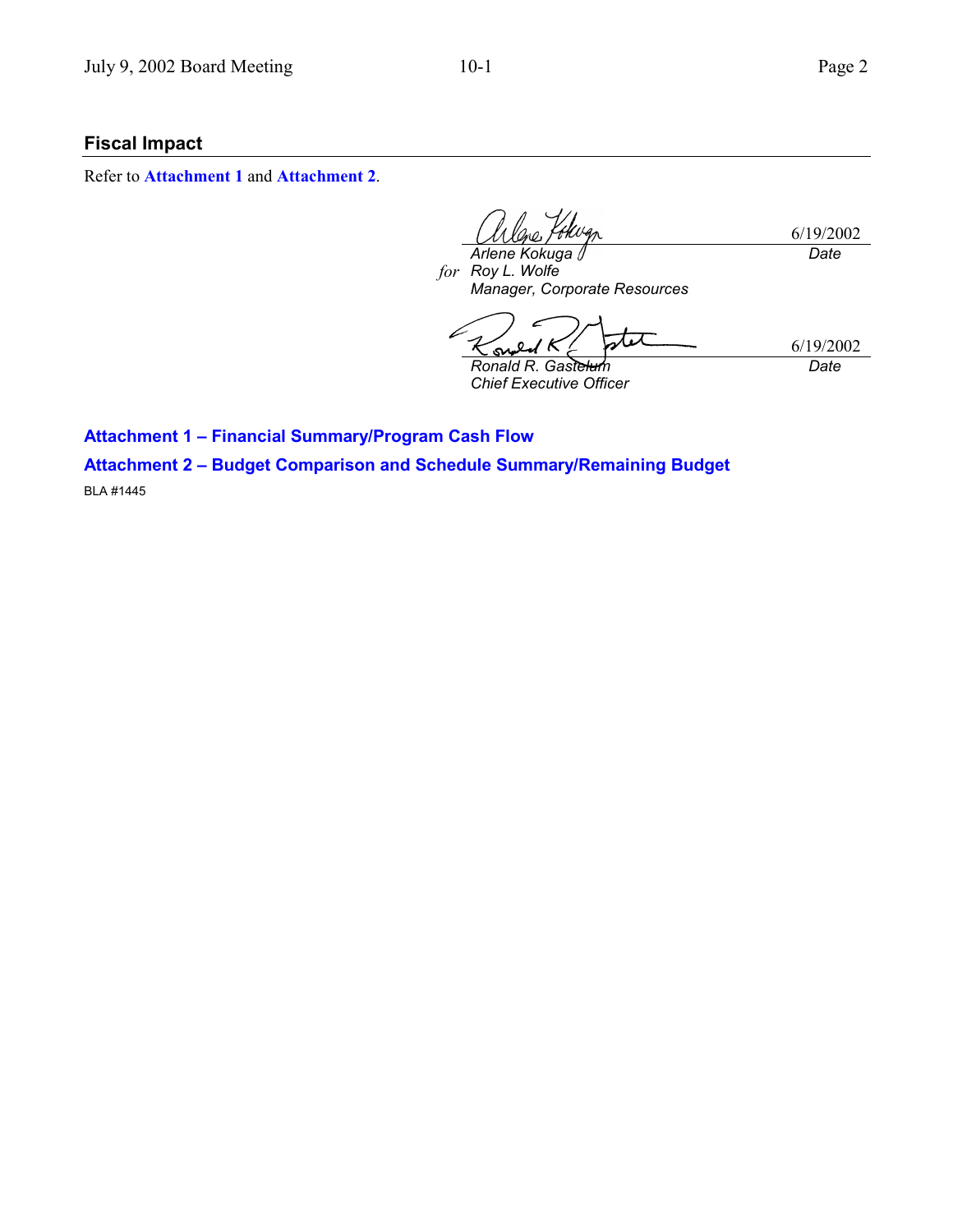## **Fiscal Impact**

Refer to **[Attachment 1](#page-2-0)** and **[Attachment 2](#page-3-0)**.

6/19/2002 *Date*

*for Roy L. Wolfe Arlene Kokuga Manager, Corporate Resources*

tit 6/19/2002 S *Ronald R. Gastelum Date*

*Chief Executive Officer*

**Attachment 1 - Financial Summary/Program Cash Flow** 

**Attachment 2 - Budget Comparison and Schedule Summary/Remaining Budget** 

BLA #1445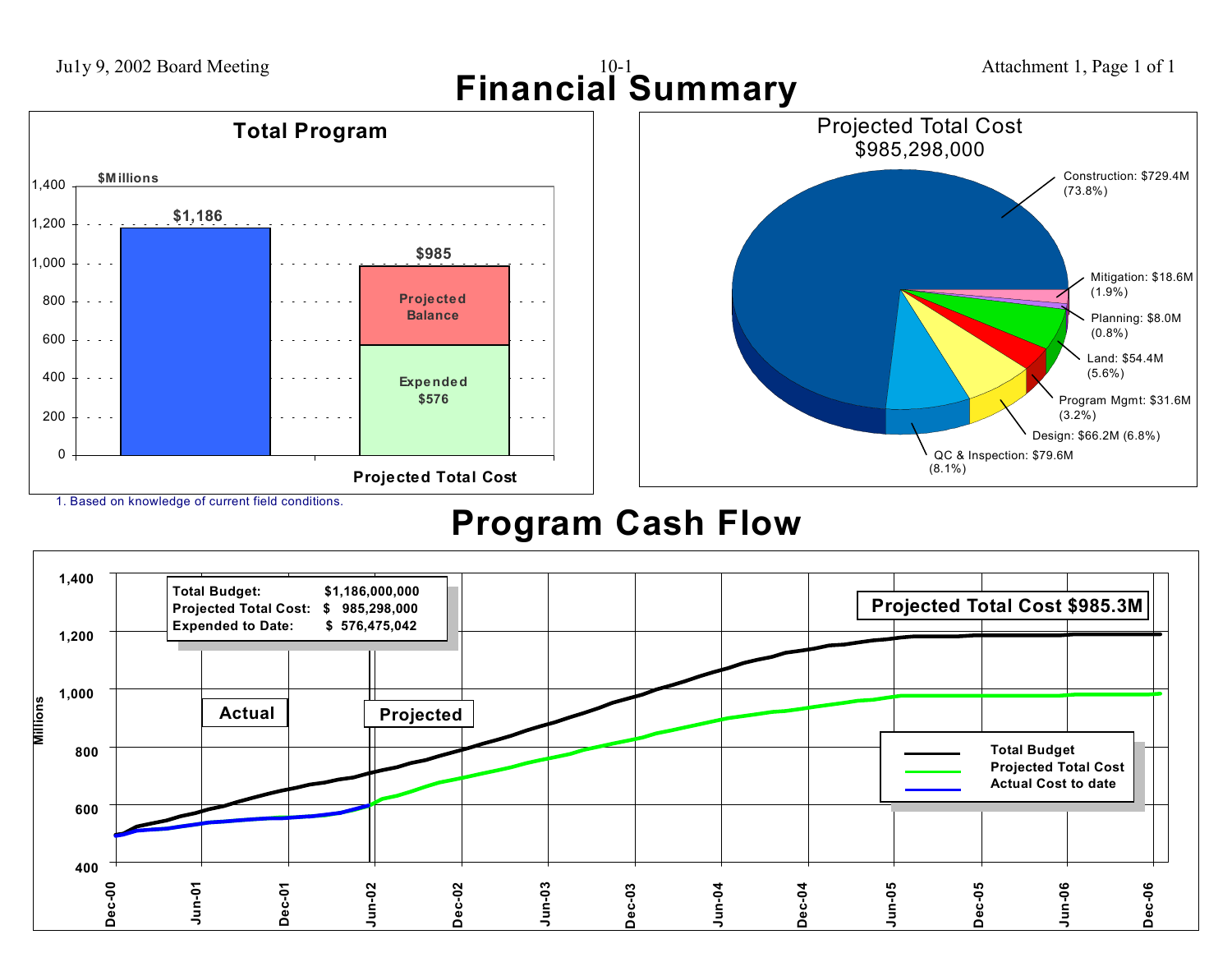<span id="page-2-0"></span>